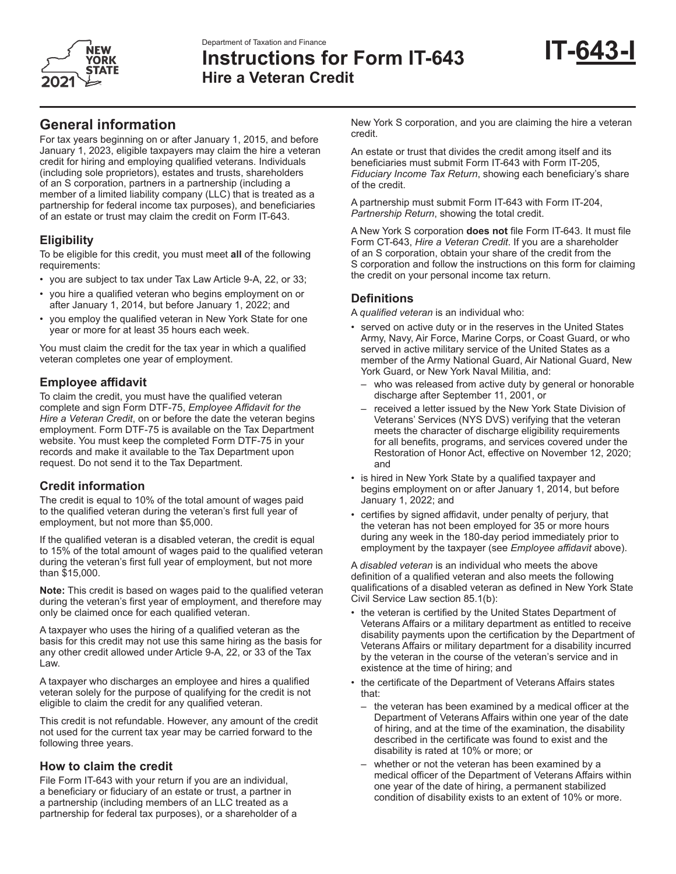

# **Instructions for Form IT-643 Hire a Veteran Credit**



## **General information**

For tax years beginning on or after January 1, 2015, and before January 1, 2023, eligible taxpayers may claim the hire a veteran credit for hiring and employing qualified veterans. Individuals (including sole proprietors), estates and trusts, shareholders of an S corporation, partners in a partnership (including a member of a limited liability company (LLC) that is treated as a partnership for federal income tax purposes), and beneficiaries of an estate or trust may claim the credit on Form IT-643.

## **Eligibility**

To be eligible for this credit, you must meet **all** of the following requirements:

- you are subject to tax under Tax Law Article 9-A, 22, or 33;
- you hire a qualified veteran who begins employment on or after January 1, 2014, but before January 1, 2022; and
- you employ the qualified veteran in New York State for one year or more for at least 35 hours each week.

You must claim the credit for the tax year in which a qualified veteran completes one year of employment.

### **Employee affidavit**

To claim the credit, you must have the qualified veteran complete and sign Form DTF-75, *Employee Affidavit for the Hire a Veteran Credit*, on or before the date the veteran begins employment. Form DTF-75 is available on the Tax Department website. You must keep the completed Form DTF-75 in your records and make it available to the Tax Department upon request. Do not send it to the Tax Department.

## **Credit information**

The credit is equal to 10% of the total amount of wages paid to the qualified veteran during the veteran's first full year of employment, but not more than \$5,000.

If the qualified veteran is a disabled veteran, the credit is equal to 15% of the total amount of wages paid to the qualified veteran during the veteran's first full year of employment, but not more than \$15,000.

**Note:** This credit is based on wages paid to the qualified veteran during the veteran's first year of employment, and therefore may only be claimed once for each qualified veteran.

A taxpayer who uses the hiring of a qualified veteran as the basis for this credit may not use this same hiring as the basis for any other credit allowed under Article 9-A, 22, or 33 of the Tax Law.

A taxpayer who discharges an employee and hires a qualified veteran solely for the purpose of qualifying for the credit is not eligible to claim the credit for any qualified veteran.

This credit is not refundable. However, any amount of the credit not used for the current tax year may be carried forward to the following three years.

#### **How to claim the credit**

File Form IT-643 with your return if you are an individual, a beneficiary or fiduciary of an estate or trust, a partner in a partnership (including members of an LLC treated as a partnership for federal tax purposes), or a shareholder of a New York S corporation, and you are claiming the hire a veteran credit.

An estate or trust that divides the credit among itself and its beneficiaries must submit Form IT-643 with Form IT-205, *Fiduciary Income Tax Return*, showing each beneficiary's share of the credit.

A partnership must submit Form IT-643 with Form IT-204, *Partnership Return*, showing the total credit.

A New York S corporation **does not** file Form IT-643. It must file Form CT-643, *Hire a Veteran Credit*. If you are a shareholder of an S corporation, obtain your share of the credit from the S corporation and follow the instructions on this form for claiming the credit on your personal income tax return.

## **Definitions**

A *qualified veteran* is an individual who:

- served on active duty or in the reserves in the United States Army, Navy, Air Force, Marine Corps, or Coast Guard, or who served in active military service of the United States as a member of the Army National Guard, Air National Guard, New York Guard, or New York Naval Militia, and:
	- who was released from active duty by general or honorable discharge after September 11, 2001, or
	- received a letter issued by the New York State Division of Veterans' Services (NYS DVS) verifying that the veteran meets the character of discharge eligibility requirements for all benefits, programs, and services covered under the Restoration of Honor Act, effective on November 12, 2020; and
- is hired in New York State by a qualified taxpayer and begins employment on or after January 1, 2014, but before January 1, 2022; and
- certifies by signed affidavit, under penalty of perjury, that the veteran has not been employed for 35 or more hours during any week in the 180-day period immediately prior to employment by the taxpayer (see *Employee affidavit* above).

A *disabled veteran* is an individual who meets the above definition of a qualified veteran and also meets the following qualifications of a disabled veteran as defined in New York State Civil Service Law section 85.1(b):

- the veteran is certified by the United States Department of Veterans Affairs or a military department as entitled to receive disability payments upon the certification by the Department of Veterans Affairs or military department for a disability incurred by the veteran in the course of the veteran's service and in existence at the time of hiring; and
- the certificate of the Department of Veterans Affairs states that:
	- the veteran has been examined by a medical officer at the Department of Veterans Affairs within one year of the date of hiring, and at the time of the examination, the disability described in the certificate was found to exist and the disability is rated at 10% or more; or
	- whether or not the veteran has been examined by a medical officer of the Department of Veterans Affairs within one year of the date of hiring, a permanent stabilized condition of disability exists to an extent of 10% or more.